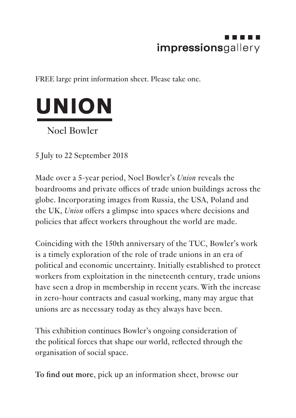## impressionsgallery

FREE large print information sheet. Please take one.



5 July to 22 September 2018

Made over a 5-year period, Noel Bowler's *Union* reveals the boardrooms and private offices of trade union buildings across the globe. Incorporating images from Russia, the USA, Poland and the UK, *Union* offers a glimpse into spaces where decisions and policies that affect workers throughout the world are made.

Coinciding with the 150th anniversary of the TUC, Bowler's work is a timely exploration of the role of trade unions in an era of political and economic uncertainty. Initially established to protect workers from exploitation in the nineteenth century, trade unions have seen a drop in membership in recent years. With the increase in zero-hour contracts and casual working, many may argue that unions are as necessary today as they always have been.

This exhibition continues Bowler's ongoing consideration of the political forces that shape our world, reflected through the organisation of social space.

**To find out more**, pick up an information sheet, browse our